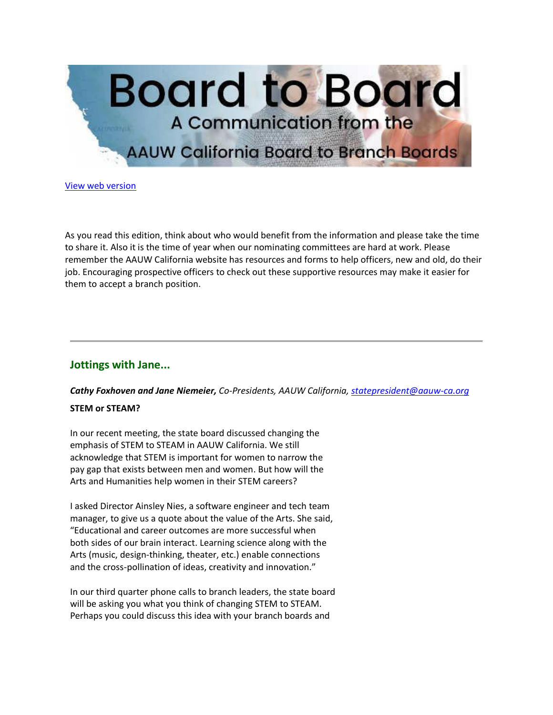

[View web version](https://bor.aauw-ca.org/sendy/w/TUOSGfy7Cpz8aRJWz2DoeQ/oc763LUjhQaWWaFPJ1GklAiw/UdL7l58hO3Sd9IOmskceOg)

As you read this edition, think about who would benefit from the information and please take the time to share it. Also it is the time of year when our nominating committees are hard at work. Please remember the AAUW California website has resources and forms to help officers, new and old, do their job. Encouraging prospective officers to check out these supportive resources may make it easier for them to accept a branch position.

# **Jottings with Jane...**

*Cathy Foxhoven and Jane Niemeier, Co-Presidents, AAUW California, [statepresident@aauw-ca.org](mailto:statepresident@aauw-ca.org)*

# **STEM or STEAM?**

In our recent meeting, the state board discussed changing the emphasis of STEM to STEAM in AAUW California. We still acknowledge that STEM is important for women to narrow the pay gap that exists between men and women. But how will the Arts and Humanities help women in their STEM careers?

I asked Director Ainsley Nies, a software engineer and tech team manager, to give us a quote about the value of the Arts. She said, "Educational and career outcomes are more successful when both sides of our brain interact. Learning science along with the Arts (music, design-thinking, theater, etc.) enable connections and the cross-pollination of ideas, creativity and innovation."

In our third quarter phone calls to branch leaders, the state board will be asking you what you think of changing STEM to STEAM. Perhaps you could discuss this idea with your branch boards and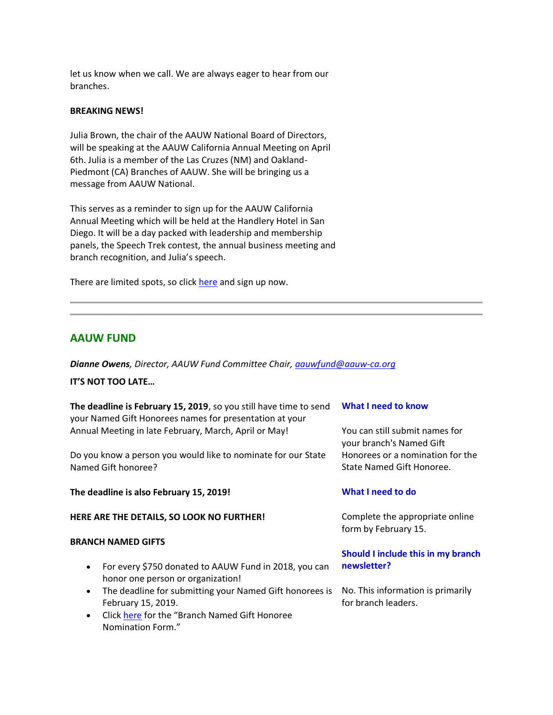let us know when we call. We are always eager to hear from our branches.

## **BREAKING NEWS!**

Julia Brown, the chair of the AAUW National Board of Directors, will be speaking at the AAUW California Annual Meeting on April 6th. Julia is a member of the Las Cruzes (NM) and Oakland-Piedmont (CA) Branches of AAUW. She will be bringing us a message from AAUW National.

This serves as a reminder to sign up for the AAUW California Annual Meeting which will be held at the Handlery Hotel in San Diego. It will be a day packed with leadership and membership panels, the Speech Trek contest, the annual business meeting and branch recognition, and Julia's speech.

There are limited spots, so click [here](https://bor.aauw-ca.org/sendy/l/TUOSGfy7Cpz8aRJWz2DoeQ/kLIL1PX39mumKSyXkuarEQ/UdL7l58hO3Sd9IOmskceOg) and sign up now.

# **AAUW FUND**

*Dianne Owens, Director, AAUW Fund Committee Chair, [aauwfund@aauw-ca.org](mailto:aauwfund@aauw-ca.org)*

#### **IT'S NOT TOO LATE…**

**The deadline is February 15, 2019**, so you still have time to send your Named Gift Honorees names for presentation at your Annual Meeting in late February, March, April or May!

Do you know a person you would like to nominate for our State Named Gift honoree?

**The deadline is also February 15, 2019!**

#### **HERE ARE THE DETAILS, SO LOOK NO FURTHER!**

#### **BRANCH NAMED GIFTS**

- For every \$750 donated to AAUW Fund in 2018, you can honor one person or organization!
- The deadline for submitting your Named Gift honorees is February 15, 2019.
- Clic[k here](https://bor.aauw-ca.org/sendy/l/TUOSGfy7Cpz8aRJWz2DoeQ/Cis0z28sgHZ7riqiHUK4lw/UdL7l58hO3Sd9IOmskceOg) for the "Branch Named Gift Honoree Nomination Form."

#### **What I need to know**

You can still submit names for your branch's Named Gift Honorees or a nomination for the State Named Gift Honoree.

## **What I need to do**

Complete the appropriate online form by February 15.

# **Should I include this in my branch newsletter?**

No. This information is primarily for branch leaders.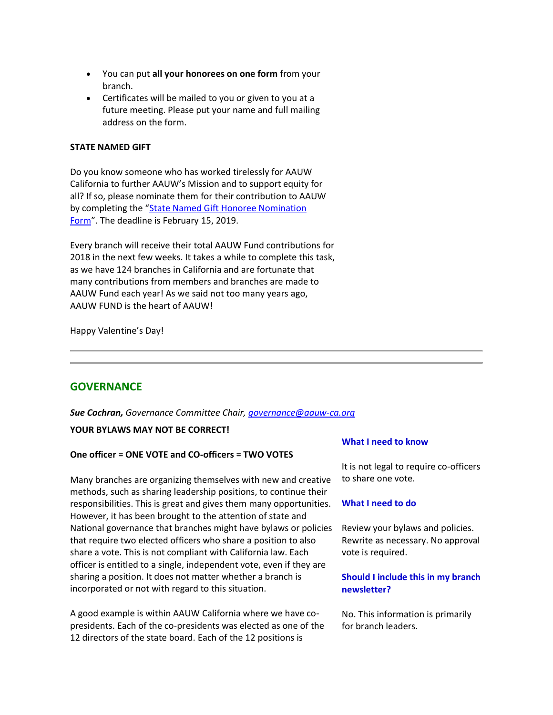- You can put **all your honorees on one form** from your branch.
- Certificates will be mailed to you or given to you at a future meeting. Please put your name and full mailing address on the form.

## **STATE NAMED GIFT**

Do you know someone who has worked tirelessly for AAUW California to further AAUW's Mission and to support equity for all? If so, please nominate them for their contribution to AAUW by completing the "State Named Gift Honoree Nomination [Form](https://bor.aauw-ca.org/sendy/l/TUOSGfy7Cpz8aRJWz2DoeQ/4y8wvEHapDak8926763Qc5WWRg/UdL7l58hO3Sd9IOmskceOg)". The deadline is February 15, 2019.

Every branch will receive their total AAUW Fund contributions for 2018 in the next few weeks. It takes a while to complete this task, as we have 124 branches in California and are fortunate that many contributions from members and branches are made to AAUW Fund each year! As we said not too many years ago, AAUW FUND is the heart of AAUW!

Happy Valentine's Day!

# **GOVERNANCE**

*Sue Cochran, Governance Committee Chair, [governance@aauw-ca.org](mailto:governance@aauw-ca.org)*

# **YOUR BYLAWS MAY NOT BE CORRECT!**

## **One officer = ONE VOTE and CO-officers = TWO VOTES**

Many branches are organizing themselves with new and creative methods, such as sharing leadership positions, to continue their responsibilities. This is great and gives them many opportunities. However, it has been brought to the attention of state and National governance that branches might have bylaws or policies that require two elected officers who share a position to also share a vote. This is not compliant with California law. Each officer is entitled to a single, independent vote, even if they are sharing a position. It does not matter whether a branch is incorporated or not with regard to this situation.

A good example is within AAUW California where we have copresidents. Each of the co-presidents was elected as one of the 12 directors of the state board. Each of the 12 positions is

## **What I need to know**

It is not legal to require co-officers to share one vote.

## **What I need to do**

Review your bylaws and policies. Rewrite as necessary. No approval vote is required.

# **Should I include this in my branch newsletter?**

No. This information is primarily for branch leaders.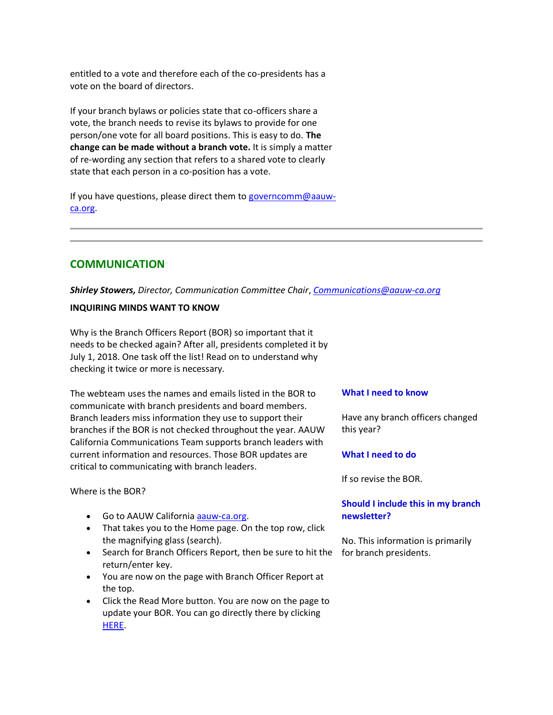entitled to a vote and therefore each of the co-presidents has a vote on the board of directors.

If your branch bylaws or policies state that co-officers share a vote, the branch needs to revise its bylaws to provide for one person/one vote for all board positions. This is easy to do. **The change can be made without a branch vote.** It is simply a matter of re-wording any section that refers to a shared vote to clearly state that each person in a co-position has a vote.

If you have questions, please direct them t[o governcomm@aauw](mailto:governcomm@aauw-ca.org)[ca.org.](mailto:governcomm@aauw-ca.org)

# **COMMUNICATION**

*Shirley Stowers, Director, Communication Committee Chair*, *[Communications@aauw-ca.org](mailto:Communications@aauw-ca.org)*

## **INQUIRING MINDS WANT TO KNOW**

Why is the Branch Officers Report (BOR) so important that it needs to be checked again? After all, presidents completed it by July 1, 2018. One task off the list! Read on to understand why checking it twice or more is necessary.

The webteam uses the names and emails listed in the BOR to communicate with branch presidents and board members. Branch leaders miss information they use to support their branches if the BOR is not checked throughout the year. AAUW California Communications Team supports branch leaders with current information and resources. Those BOR updates are critical to communicating with branch leaders.

Where is the BOR?

- Go to AAUW California **aauw-ca.org.**
- That takes you to the Home page. On the top row, click the magnifying glass (search).
- Search for Branch Officers Report, then be sure to hit the for branch presidents.return/enter key.
- You are now on the page with Branch Officer Report at the top.
- Click the Read More button. You are now on the page to update your BOR. You can go directly there by clicking [HERE.](https://bor.aauw-ca.org/sendy/l/TUOSGfy7Cpz8aRJWz2DoeQ/ZSRH1VBleYsx77od2892U6lQ/UdL7l58hO3Sd9IOmskceOg)

## **What I need to know**

Have any branch officers changed this year?

## **What I need to do**

If so revise the BOR.

# **Should I include this in my branch newsletter?**

No. This information is primarily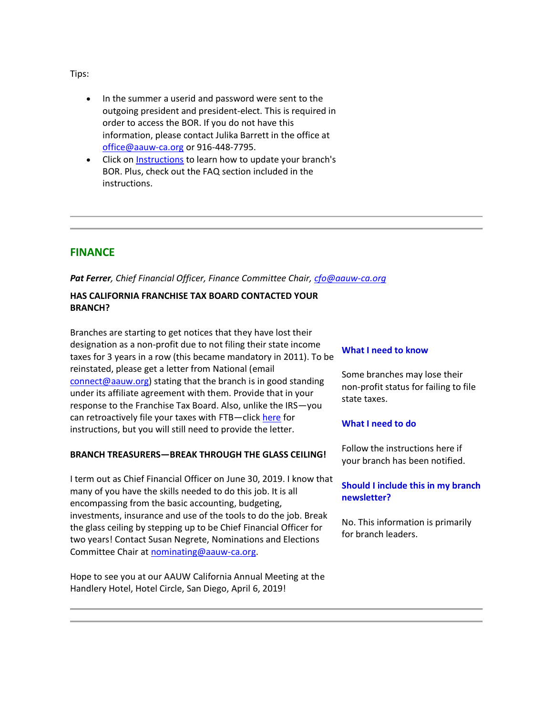Tips:

- In the summer a userid and password were sent to the outgoing president and president-elect. This is required in order to access the BOR. If you do not have this information, please contact Julika Barrett in the office at [office@aauw-ca.org](mailto:office@aauw-ca.org) or 916-448-7795.
- Click o[n Instructions](https://bor.aauw-ca.org/sendy/l/TUOSGfy7Cpz8aRJWz2DoeQ/X0Gp9PtKHxY9X69KfP3Jsw/UdL7l58hO3Sd9IOmskceOg) to learn how to update your branch's BOR. Plus, check out the FAQ section included in the instructions.

# **FINANCE**

# *Pat Ferrer, Chief Financial Officer, Finance Committee Chair, [cfo@aauw-ca.org](mailto:cfo@aauw-ca.org)*

# **HAS CALIFORNIA FRANCHISE TAX BOARD CONTACTED YOUR BRANCH?**

Branches are starting to get notices that they have lost their designation as a non-profit due to not filing their state income taxes for 3 years in a row (this became mandatory in 2011). To be reinstated, please get a letter from National (email [connect@aauw.org\)](mailto:connect@aauw.org) stating that the branch is in good standing under its affiliate agreement with them. Provide that in your response to the Franchise Tax Board. Also, unlike the IRS—you can retroactively file your taxes with FTB-clic[k here](https://bor.aauw-ca.org/sendy/l/TUOSGfy7Cpz8aRJWz2DoeQ/SvWb17L01YkL6rc0mDXnpg/UdL7l58hO3Sd9IOmskceOg) for instructions, but you will still need to provide the letter.

# **BRANCH TREASURERS—BREAK THROUGH THE GLASS CEILING!**

I term out as Chief Financial Officer on June 30, 2019. I know that many of you have the skills needed to do this job. It is all encompassing from the basic accounting, budgeting, investments, insurance and use of the tools to do the job. Break the glass ceiling by stepping up to be Chief Financial Officer for two years! Contact Susan Negrete, Nominations and Elections Committee Chair at [nominating@aauw-ca.org.](mailto:nominating@aauw-ca.org)

Hope to see you at our AAUW California Annual Meeting at the Handlery Hotel, Hotel Circle, San Diego, April 6, 2019!

## **What I need to know**

Some branches may lose their non-profit status for failing to file state taxes.

# **What I need to do**

Follow the instructions here if your branch has been notified.

# **Should I include this in my branch newsletter?**

No. This information is primarily for branch leaders.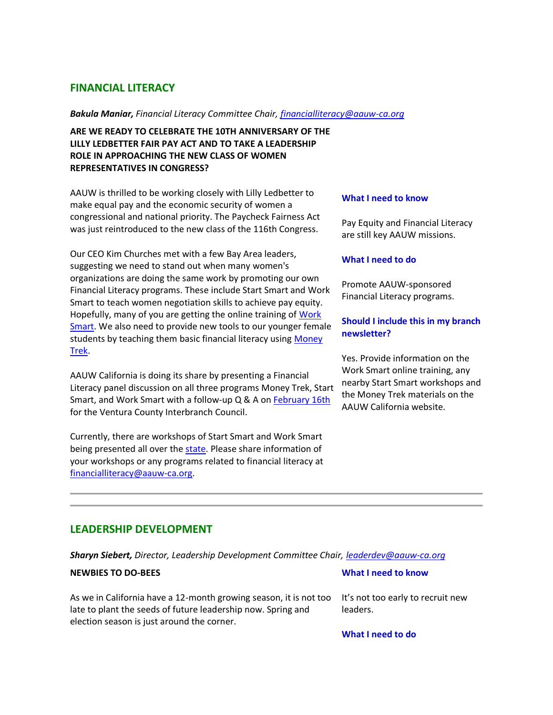# **FINANCIAL LITERACY**

#### *Bakula Maniar, Financial Literacy Committee Chair[, financialliteracy@aauw-ca.org](mailto:financialliteracy@aauw-ca.org)*

**ARE WE READY TO CELEBRATE THE 10TH ANNIVERSARY OF THE LILLY LEDBETTER FAIR PAY ACT AND TO TAKE A LEADERSHIP ROLE IN APPROACHING THE NEW CLASS OF WOMEN REPRESENTATIVES IN CONGRESS?**

AAUW is thrilled to be working closely with Lilly Ledbetter to make equal pay and the economic security of women a congressional and national priority. The Paycheck Fairness Act was just reintroduced to the new class of the 116th Congress.

Our CEO Kim Churches met with a few Bay Area leaders, suggesting we need to stand out when many women's organizations are doing the same work by promoting our own Financial Literacy programs. These include Start Smart and Work Smart to teach women negotiation skills to achieve pay equity. Hopefully, many of you are getting the online training of Work [Smart.](https://bor.aauw-ca.org/sendy/l/TUOSGfy7Cpz8aRJWz2DoeQ/d1smzVCZAKsW9cwEBH3Shw/UdL7l58hO3Sd9IOmskceOg) We also need to provide new tools to our younger female students by teaching them basic financial literacy using Money [Trek.](https://bor.aauw-ca.org/sendy/l/TUOSGfy7Cpz8aRJWz2DoeQ/GHKyK1M763IXVFXsYUs763mugg/UdL7l58hO3Sd9IOmskceOg)

AAUW California is doing its share by presenting a Financial Literacy panel discussion on all three programs Money Trek, Start Smart, and Work Smart with a follow-up Q & A on [February 16th](https://bor.aauw-ca.org/sendy/l/TUOSGfy7Cpz8aRJWz2DoeQ/s2Mzn7cAsFB7D892MqCTqPdQ/UdL7l58hO3Sd9IOmskceOg) for the Ventura County Interbranch Council.

Currently, there are workshops of Start Smart and Work Smart being presented all over the [state.](https://bor.aauw-ca.org/sendy/l/TUOSGfy7Cpz8aRJWz2DoeQ/d1smzVCZAKsW9cwEBH3Shw/UdL7l58hO3Sd9IOmskceOg) Please share information of your workshops or any programs related to financial literacy at [financialliteracy@aauw-ca.org.](mailto:financialliteracy@aauw-ca.org)

#### **What I need to know**

Pay Equity and Financial Literacy are still key AAUW missions.

#### **What I need to do**

Promote AAUW-sponsored Financial Literacy programs.

# **Should I include this in my branch newsletter?**

Yes. Provide information on the Work Smart online training, any nearby Start Smart workshops and the Money Trek materials on the AAUW California website.

# **LEADERSHIP DEVELOPMENT**

*Sharyn Siebert, Director, Leadership Development Committee Chair, [leaderdev@aauw-ca.org](mailto:leaderdev@aauw-ca.org)*

## **NEWBIES TO DO-BEES**

As we in California have a 12-month growing season, it is not too late to plant the seeds of future leadership now. Spring and election season is just around the corner.

## **What I need to know**

It's not too early to recruit new leaders.

**What I need to do**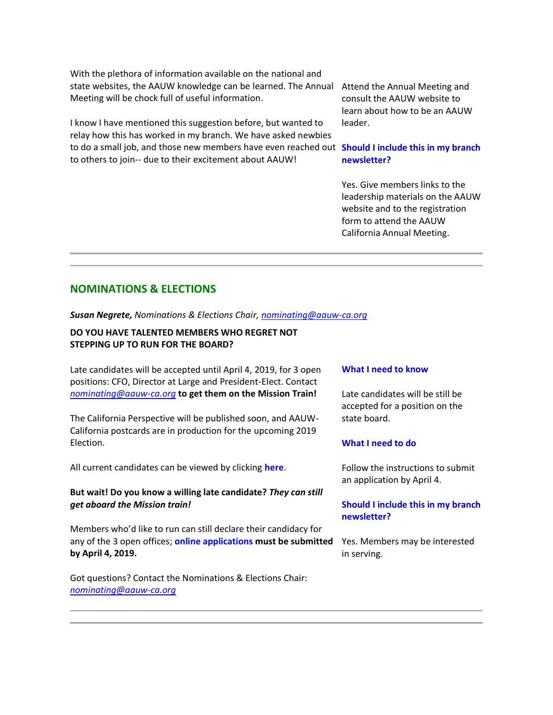With the plethora of information available on the national and state websites, the AAUW knowledge can be learned. The Annual Meeting will be chock full of useful information.

I know I have mentioned this suggestion before, but wanted to relay how this has worked in my branch. We have asked newbies to do a small job, and those new members have even reached out **Should I include this in my branch**  to others to join-- due to their excitement about AAUW!

Attend the Annual Meeting and consult the AAUW website to learn about how to be an AAUW leader.

# **newsletter?**

Yes. Give members links to the leadership materials on the AAUW website and to the registration form to attend the AAUW California Annual Meeting.

# **NOMINATIONS & ELECTIONS**

*Susan Negrete, Nominations & Elections Chair, [nominating@aauw-ca.org](mailto:nominating@aauw-ca.org)*

# **DO YOU HAVE TALENTED MEMBERS WHO REGRET NOT STEPPING UP TO RUN FOR THE BOARD?**

Late candidates will be accepted until April 4, 2019, for 3 open positions: CFO, Director at Large and President-Elect. Contact *[nominating@aauw-ca.org](mailto:nominating@aauw-ca.org)* **to get them on the Mission Train!**

The California Perspective will be published soon, and AAUW-California postcards are in production for the upcoming 2019 Election.

All current candidates can be viewed by clicking **[here](https://bor.aauw-ca.org/sendy/l/TUOSGfy7Cpz8aRJWz2DoeQ/GeAyGjujuKU88F5eUYcKzw/UdL7l58hO3Sd9IOmskceOg)**.

## **But wait! Do you know a willing late candidate?** *They can still get aboard the Mission train!*

Members who'd like to run can still declare their candidacy for any of the 3 open offices; **[online applications](https://bor.aauw-ca.org/sendy/l/TUOSGfy7Cpz8aRJWz2DoeQ/NOpMZf34pzSc2stTM8ClgA/UdL7l58hO3Sd9IOmskceOg) must be submitted by April 4, 2019.**

Got questions? Contact the Nominations & Elections Chair: *[nominating@aauw-ca.org](mailto:nominating@aauw-ca.org)*

#### **What I need to know**

Late candidates will be still be accepted for a position on the state board.

## **What I need to do**

Follow the instructions to submit an application by April 4.

# **Should I include this in my branch newsletter?**

Yes. Members may be interested in serving.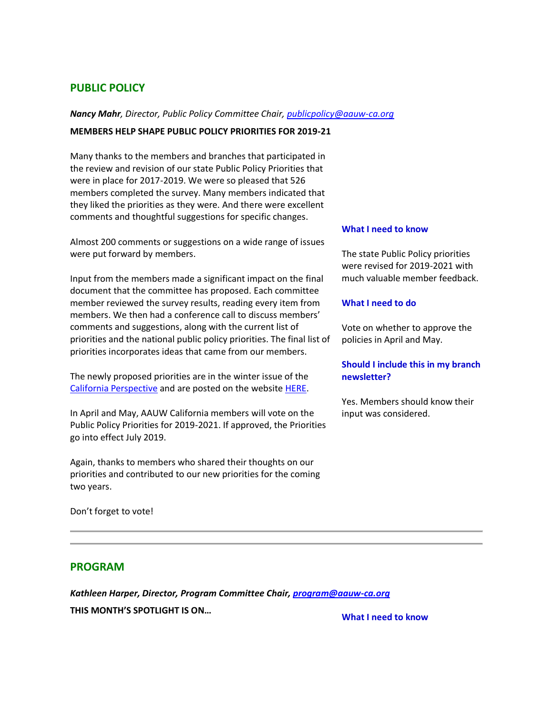# **PUBLIC POLICY**

## *Nancy Mahr, Director, Public Policy Committee Chair, [publicpolicy@aauw-ca.org](mailto:PublicPolicy@aauw-ca.org)*

#### **MEMBERS HELP SHAPE PUBLIC POLICY PRIORITIES FOR 2019-21**

Many thanks to the members and branches that participated in the review and revision of our state Public Policy Priorities that were in place for 2017-2019. We were so pleased that 526 members completed the survey. Many members indicated that they liked the priorities as they were. And there were excellent comments and thoughtful suggestions for specific changes.

Almost 200 comments or suggestions on a wide range of issues were put forward by members.

Input from the members made a significant impact on the final document that the committee has proposed. Each committee member reviewed the survey results, reading every item from members. We then had a conference call to discuss members' comments and suggestions, along with the current list of priorities and the national public policy priorities. The final list of priorities incorporates ideas that came from our members.

The newly proposed priorities are in the winter issue of the [California Perspective](https://bor.aauw-ca.org/sendy/l/TUOSGfy7Cpz8aRJWz2DoeQ/763sQ9XHTvS7grKx2F9Vw12w/UdL7l58hO3Sd9IOmskceOg) and are posted on the website [HERE.](https://bor.aauw-ca.org/sendy/l/TUOSGfy7Cpz8aRJWz2DoeQ/G6iDw08W3yMFYVzxCMAGFA/UdL7l58hO3Sd9IOmskceOg)

In April and May, AAUW California members will vote on the Public Policy Priorities for 2019-2021. If approved, the Priorities go into effect July 2019.

Again, thanks to members who shared their thoughts on our priorities and contributed to our new priorities for the coming two years.

Don't forget to vote!

## **What I need to know**

The state Public Policy priorities were revised for 2019-2021 with much valuable member feedback.

#### **What I need to do**

Vote on whether to approve the policies in April and May.

# **Should I include this in my branch newsletter?**

Yes. Members should know their input was considered.

# **PROGRAM**

*Kathleen Harper, Director, Program Committee Chair, [program@aauw-ca.org](mailto:program@aauw-ca.org)* **THIS MONTH'S SPOTLIGHT IS ON… What I need to know**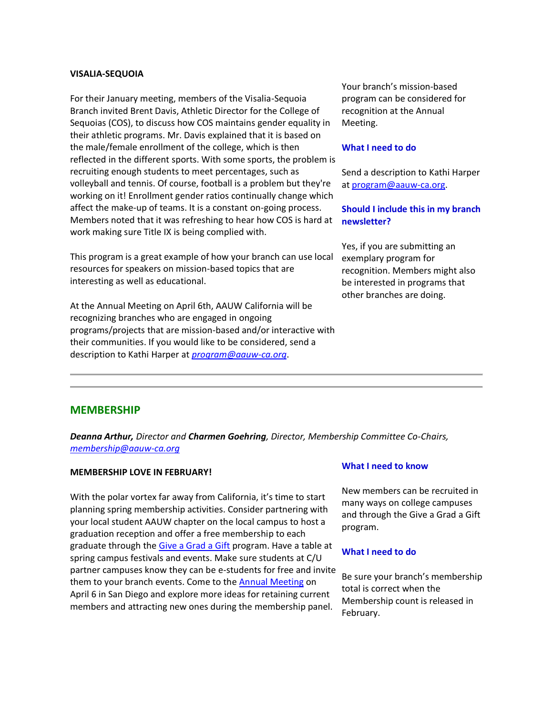### **VISALIA-SEQUOIA**

For their January meeting, members of the Visalia-Sequoia Branch invited Brent Davis, Athletic Director for the College of Sequoias (COS), to discuss how COS maintains gender equality in their athletic programs. Mr. Davis explained that it is based on the male/female enrollment of the college, which is then reflected in the different sports. With some sports, the problem is recruiting enough students to meet percentages, such as volleyball and tennis. Of course, football is a problem but they're working on it! Enrollment gender ratios continually change which affect the make-up of teams. It is a constant on-going process. Members noted that it was refreshing to hear how COS is hard at work making sure Title IX is being complied with.

This program is a great example of how your branch can use local resources for speakers on mission-based topics that are interesting as well as educational.

At the Annual Meeting on April 6th, AAUW California will be recognizing branches who are engaged in ongoing programs/projects that are mission-based and/or interactive with their communities. If you would like to be considered, send a description to Kathi Harper at *[program@aauw-ca.org](mailto:program@aauw-ca.org)*.

Your branch's mission-based program can be considered for recognition at the Annual Meeting.

#### **What I need to do**

Send a description to Kathi Harper a[t program@aauw-ca.org.](mailto:program@aauw-ca.org)

## **Should I include this in my branch newsletter?**

Yes, if you are submitting an exemplary program for recognition. Members might also be interested in programs that other branches are doing.

## **MEMBERSHIP**

*Deanna Arthur, Director and Charmen Goehring, Director, Membership Committee Co-Chairs, [membership@aauw-ca.org](mailto:membership@aauw-ca.org)*

#### **MEMBERSHIP LOVE IN FEBRUARY!**

With the polar vortex far away from California, it's time to start planning spring membership activities. Consider partnering with your local student AAUW chapter on the local campus to host a graduation reception and offer a free membership to each graduate through the [Give a Grad a Gift](https://bor.aauw-ca.org/sendy/l/TUOSGfy7Cpz8aRJWz2DoeQ/XuZaryBc62lOxElYXj0d9Q/UdL7l58hO3Sd9IOmskceOg) program. Have a table at spring campus festivals and events. Make sure students at C/U partner campuses know they can be e-students for free and invite them to your branch events. Come to the [Annual Meeting](https://bor.aauw-ca.org/sendy/l/TUOSGfy7Cpz8aRJWz2DoeQ/kLIL1PX39mumKSyXkuarEQ/UdL7l58hO3Sd9IOmskceOg) on April 6 in San Diego and explore more ideas for retaining current members and attracting new ones during the membership panel.

## **What I need to know**

New members can be recruited in many ways on college campuses and through the Give a Grad a Gift program.

#### **What I need to do**

Be sure your branch's membership total is correct when the Membership count is released in February.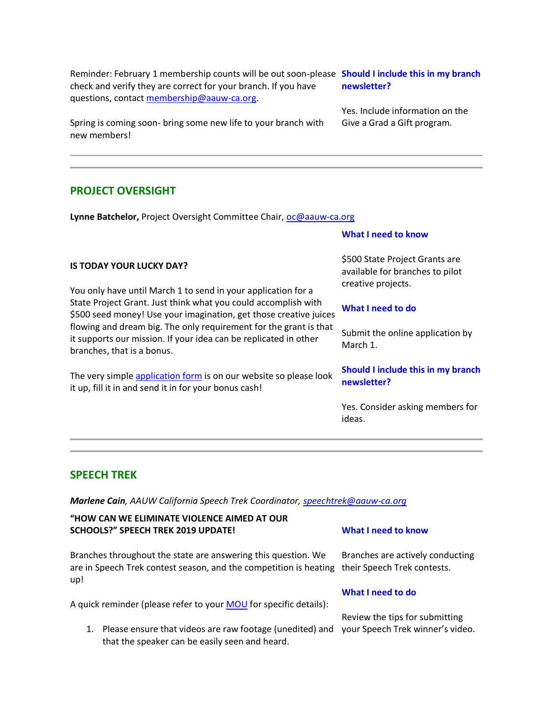Reminder: February 1 membership counts will be out soon-please **Should I include this in my branch**  check and verify they are correct for your branch. If you have questions, contact [membership@aauw-ca.org.](mailto:membership@aauw-ca.org)

Spring is coming soon- bring some new life to your branch with new members!

# **PROJECT OVERSIGHT**

**IS TODAY YOUR LUCKY DAY?**

branches, that is a bonus.

**Lynne Batchelor,** Project Oversight Committee Chair, [oc@aauw-ca.org](mailto:oc@aauw-ca.org)

You only have until March 1 to send in your application for a State Project Grant. Just think what you could accomplish with \$500 seed money! Use your imagination, get those creative juices flowing and dream big. The only requirement for the grant is that it supports our mission. If your idea can be replicated in other

The very simple [application form](https://bor.aauw-ca.org/sendy/l/TUOSGfy7Cpz8aRJWz2DoeQ/763oSr5I763VX892H0CK6WuTe892EA/UdL7l58hO3Sd9IOmskceOg) is on our website so please look

it up, fill it in and send it in for your bonus cash!

# **What I need to know**

\$500 State Project Grants are available for branches to pilot creative projects.

## **What I need to do**

Submit the online application by March 1.

# **Should I include this in my branch newsletter?**

Yes. Consider asking members for ideas.

# **SPEECH TREK**

*Marlene Cain, AAUW California Speech Trek Coordinator, [speechtrek@aauw-ca.org](mailto:speechtrek@aauw-ca.org)*

# **"HOW CAN WE ELIMINATE VIOLENCE AIMED AT OUR SCHOOLS?" SPEECH TREK 2019 UPDATE!**

Branches throughout the state are answering this question. We are in Speech Trek contest season, and the competition is heating their Speech Trek contests. up!

A quick reminder (please refer to your **MOU** for specific details):

1. Please ensure that videos are raw footage (unedited) and your Speech Trek winner's video. that the speaker can be easily seen and heard.

## **What I need to know**

Branches are actively conducting

## **What I need to do**

Review the tips for submitting

**newsletter?**

Yes. Include information on the Give a Grad a Gift program.